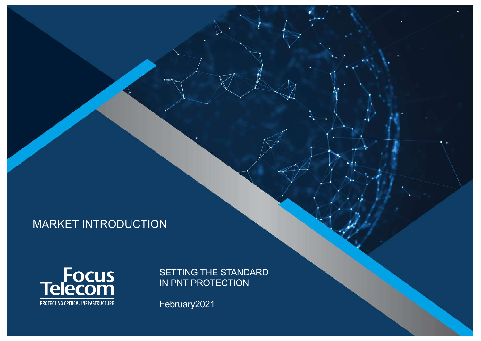# MARKET INTRODUCTION



SETTING THE STANDARD IN PNT PROTECTION

February2021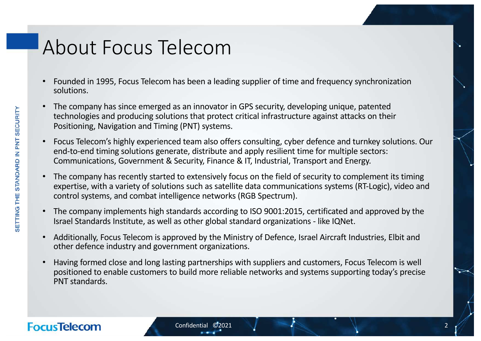# About Focus Telecom

- Founded in 1995, Focus Telecom has been a leading supplier of time and frequency synchronization solutions.
- The company has since emerged as an innovator in GPS security, developing unique, patented technologies and producing solutions that protect critical infrastructure against attacks on their Positioning, Navigation and Timing (PNT) systems.
- Focus Telecom's highly experienced team also offers consulting, cyber defence and turnkey solutions. Our end-to-end timing solutions generate, distribute and apply resilient time for multiple sectors: Communications, Government & Security, Finance & IT, Industrial, Transport and Energy.
- The company has recently started to extensively focus on the field of security to complement its timing expertise, with a variety of solutions such as satellite data communications systems (RT-Logic), video and control systems, and combat intelligence networks (RGB Spectrum).
- The company implements high standards according to ISO 9001:2015, certificated and approved by the Israel Standards Institute, as well as other global standard organizations - like IQNet.
- Additionally, Focus Telecom is approved by the Ministry of Defence, Israel Aircraft Industries, Elbit and other defence industry and government organizations.
- Having formed close and long lasting partnerships with suppliers and customers, Focus Telecom is well positioned to enable customers to build more reliable networks and systems supporting today's precise PNT standards.

# SETTING THE STANDARD IN PNT SECURITY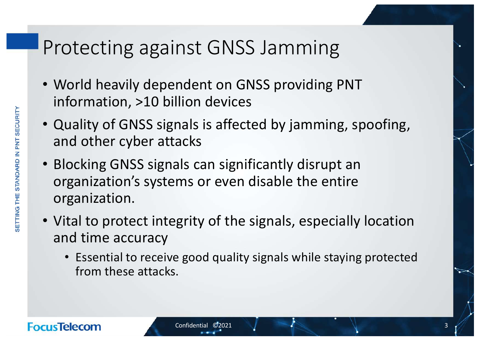# Protecting against GNSS Jamming

- World heavily dependent on GNSS providing PNT information, >10 billion devices
- Quality of GNSS signals is affected by jamming, spoofing, and other cyber attacks
- Blocking GNSS signals can significantly disrupt an organization's systems or even disable the entire organization.
- Vital to protect integrity of the signals, especially location and time accuracy
	- Essential to receive good quality signals while staying protected from these attacks.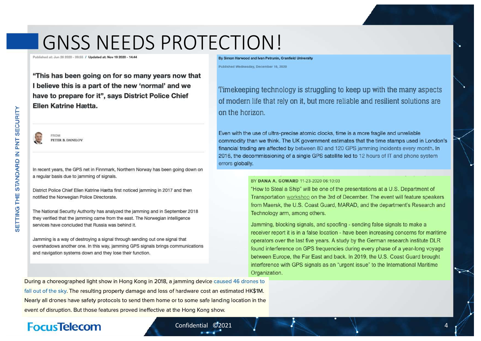# GNSS NEEDS PROTECTION!

Published at: Jun 26, 2020 - 00-55 / Undated at: Nov 19, 2020 - 1

By Simon Harwood and Ivan Petrunin, Cranfield University Published Wednesday, December 16, 2020

"This has been going on for so many years now that I believe this is a part of the new 'normal' and we have to prepare for it", says District Police Chief **Ellen Katrine Hætta.** 



PETER B. DANILOV

In recent years, the GPS net in Finnmark, Northern Norway has been going down on a regular basis due to jamming of signals.

District Police Chief Ellen Katrine Hætta first noticed jamming in 2017 and then notified the Norwegian Police Directorate.

The National Security Authority has analyzed the jamming and in September 2018 they verified that the jamming came from the east. The Norwegian intelligence services have concluded that Russia was behind it.

Jamming is a way of destroying a signal through sending out one signal that overshadows another one. In this way, jamming GPS signals brings communications and navigation systems down and they lose their function.

Timekeeping technology is struggling to keep up with the many aspects of modern life that rely on it, but more reliable and resilient solutions are on the horizon.

Even with the use of ultra-precise atomic clocks, time is a more fragile and unreliable commodity than we think. The UK government estimates that the time stamps used in London's financial trading are affected by between 80 and 120 GPS jamming incidents every month. In 2016, the decommissioning of a single GPS satellite led to 12 hours of IT and phone system errors globally.

#### BY DANA A. GOWARD 11-23-2020 06:10:03

"How to Steal a Ship" will be one of the presentations at a U.S. Department of Transportation workshop on the 3rd of December. The event will feature speakers from Maersk, the U.S. Coast Guard, MARAD, and the department's Research and Technology arm, among others.

Jamming, blocking signals, and spoofing - sending false signals to make a receiver report it is in a false location - have been increasing concerns for maritime operators over the last five years. A study by the German research institute DLR found interference on GPS frequencies during every phase of a year-long voyage between Europe, the Far East and back. In 2019, the U.S. Coast Guard brought interference with GPS signals as an "urgent issue" to the International Maritime Organization.

During a choreographed light show in Hong Kong in 2018, a jamming device caused 46 drones to fall out of the sky. The resulting property damage and loss of hardware cost an estimated HK\$1M. Nearly all drones have safety protocols to send them home or to some safe landing location in the event of disruption. But those features proved ineffective at the Hong Kong show.

#### **FocusTelecom**

#### Confidential ©2021 4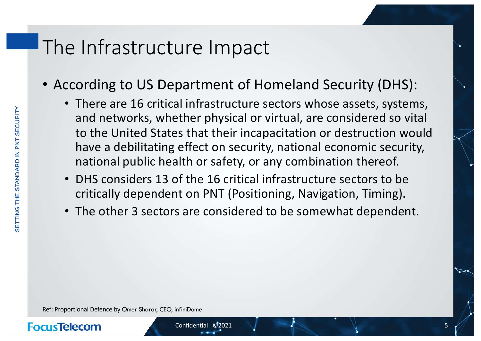# The Infrastructure Impact

- According to US Department of Homeland Security (DHS):
	- There are 16 critical infrastructure sectors whose assets, systems, and networks, whether physical or virtual, are considered so vital to the United States that their incapacitation or destruction would have a debilitating effect on security, national economic security, national public health or safety, or any combination thereof.
	- DHS considers 13 of the 16 critical infrastructure sectors to be critically dependent on PNT (Positioning, Navigation, Timing).
	- The other 3 sectors are considered to be somewhat dependent.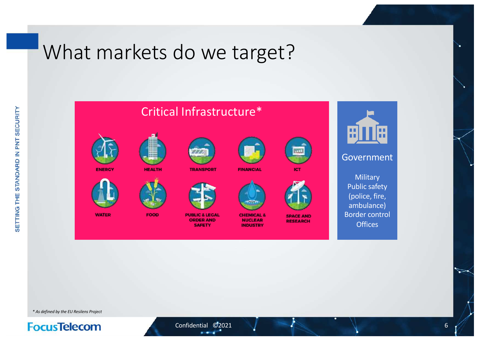# What markets do we target?





**TRANSPORT** 



**CHEMICAL &** 

**NUCLEAR** 

**INDUSTRY** 





 $11$ 

#### Government

**Military** Public safety (police, fire, ambulance) Border control **Offices** 

**WATER** 

**ENERCY** 



FOOD

**PUBLIC & LEGAL** 

**ORDER AND SAFETY** 

**SPACE AND RESEARCH** 

*\* As defined by the EU Resilens Project*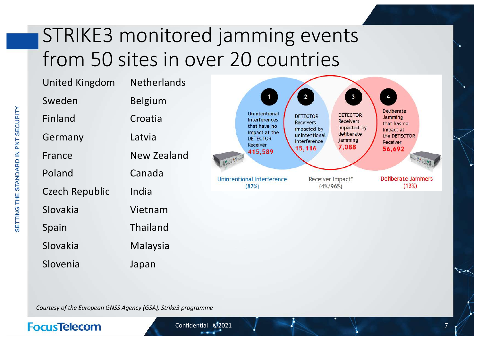# STRIKE3 monitored jamming events from 50 sites in over 20 countries

| <b>United Kingdom</b><br>Sweden | <b>Netherlands</b><br><b>Belgium</b> | $\begin{array}{c} \hline \end{array}$                       | $\mathbf{3}$<br>$\overline{\mathbf{2}}$                                                   | $\overline{4}$                              |
|---------------------------------|--------------------------------------|-------------------------------------------------------------|-------------------------------------------------------------------------------------------|---------------------------------------------|
| Finland                         | Croatia                              | Unintentional<br><b>Interferences</b><br>that have no       | <b>DETECTOR</b><br><b>DETECTOR</b><br><b>Receivers</b><br><b>Receivers</b><br>impacted by | Deliberate<br><b>Jamming</b><br>that has no |
| Germany                         | Latvia                               | Impact at the<br><b>DETECTOR</b><br>Receiver                | impacted by<br>deliberate<br>unintentional<br>jamming<br>interference                     | impact at<br>the DETECTOR<br>Receiver       |
| France                          | New Zealand                          | 415,589<br>$ e  =  e $<br><b>Unintentional Interference</b> | 7,088<br>15,116                                                                           | 56,692                                      |
| Poland                          | Canada                               |                                                             | Receiver Impact*                                                                          | <b>Deliberate Jammers</b>                   |
| <b>Czech Republic</b>           | India                                | (87%)                                                       | $(4\%/96\%)$                                                                              | (13%)                                       |
| Slovakia                        | Vietnam                              |                                                             |                                                                                           |                                             |
| Spain                           | Thailand                             |                                                             |                                                                                           |                                             |
| Slovakia                        | Malaysia                             |                                                             |                                                                                           |                                             |

*Courtesy of the European GNSS Agency (GSA), Strike3 programme*

Japan

### **FocusTelecom**

Slovenia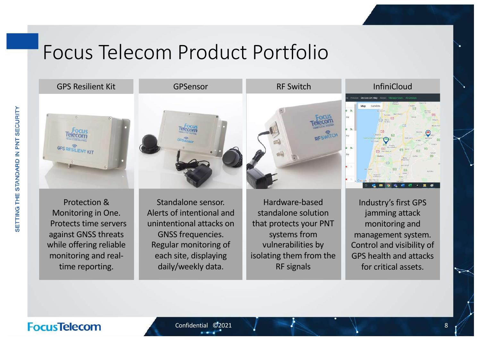# Focus Telecom Product Portfolio

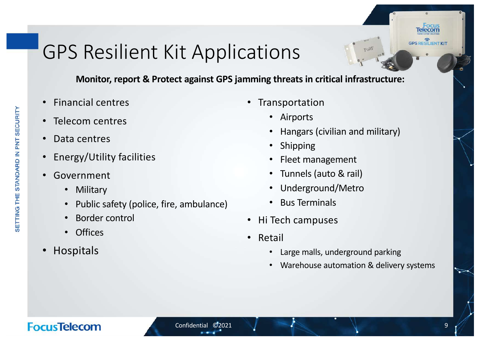# GPS Resilient Kit Applications

**Monitor, report & Protect against GPS jamming threats in critical infrastructure:**

- Financial centres
- Telecom centres
- Data centres
- Energy/Utility facilities
- Government
	- Military
	- Public safety (police, fire, ambulance)
	- Border control
	- Offices
- Hospitals
- **Transportation** 
	- Airports
	- Hangars (civilian and military)
	- Shipping
	- Fleet management
	- Tunnels (auto & rail)
	- Underground/Metro
	- Bus Terminals
- Hi Tech campuses
- Retail
	- Large malls, underground parking
	- Warehouse automation & delivery systems

# **FocusTelecom**

**GPS RESILIENT KIT**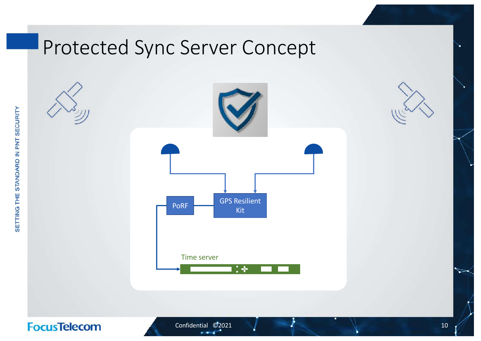# Protected Sync Server Concept



<a href="https://www.vecteezy.com/free-vector/security">Security Vectors by Vecteezy</a>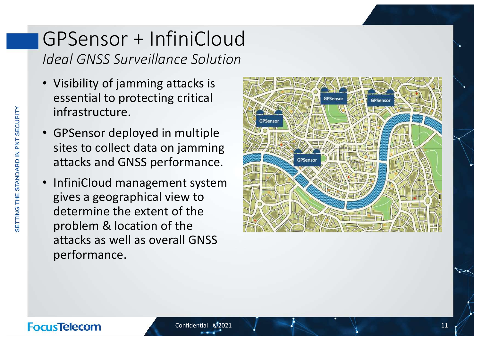# GPSensor + InfiniCloud *Ideal GNSS Surveillance Solution*

- Visibility of jamming attacks is essential to protecting critical infrastructure.
- GPSensor deployed in multiple sites to collect data on jamming attacks and GNSS performance.
- InfiniCloud management system gives a geographical view to determine the extent of the problem & location of the attacks as well as overall GNSS performance.

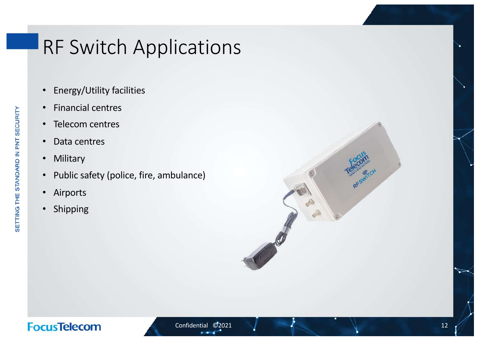# RF Switch Applications

- Energy/Utility facilities
- Financial centres
- Telecom centres
- Data centres
- Military
- Public safety (police, fire, ambulance)
- Airports
- Shipping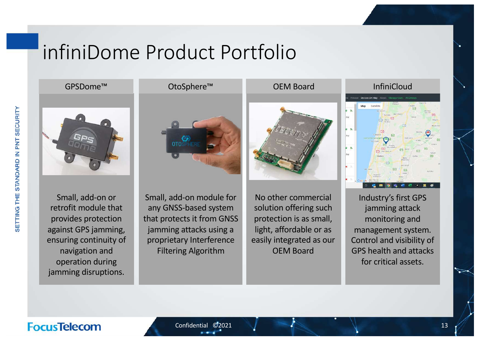# infiniDome Product Portfolio

Small, add-on or retrofit module that provides protection against GPS jamming, ensuring continuity of navigation and operation during jamming disruptions.

Small, add-on module for any GNSS-based system that protects it from GNSS jamming attacks using a proprietary Interference Filtering Algorithm

No other commercial solution offering such protection is as small, light, affordable or as easily integrated as our OEM Board





Industry's first GPS jamming attack monitoring and management system. Control and visibility of GPS health and attacks for critical assets.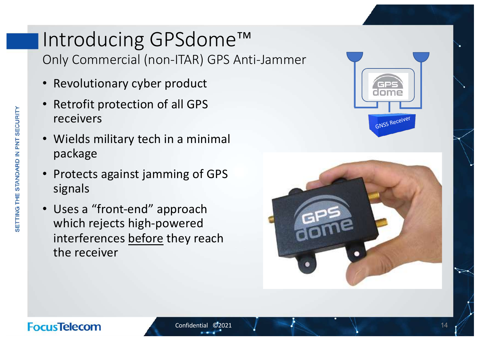# Introducing GPSdome™ Only Commercial (non-ITAR) GPS Anti-Jammer

- Revolutionary cyber product
- Retrofit protection of all GPS receivers
- Wields military tech in a minimal package
- Protects against jamming of GPS signals
- Uses a "front-end" approach which rejects high-powered interferences before they reach the receiver

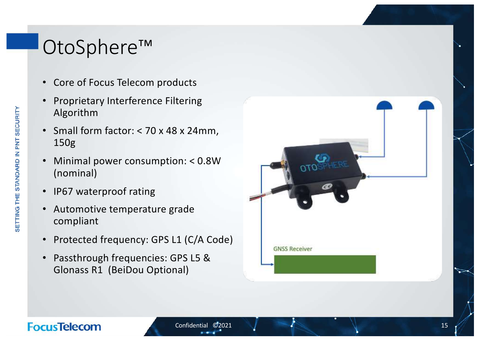# OtoSphere ™

- Core of Focus Telecom products
- Proprietary Interference Filtering Algorithm
- Small form factor: < 70 x 48 x 24mm, 150g
- Minimal power consumption: < 0.8W (nominal)
- IP67 waterproof rating
- Automotive temperature grade compliant
- Protected frequency: GPS L1 (C/A Code)
- Passthrough frequencies: GPS L5 & Glonass R1 (BeiDou Optional)

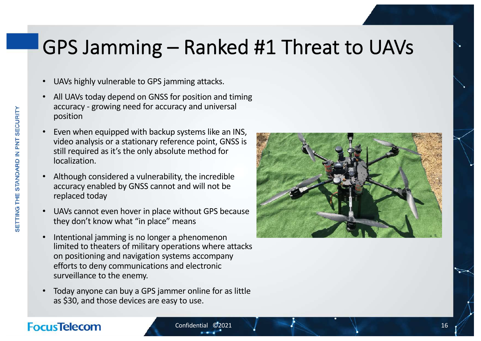# GPS Jamming – Ranked #1 Threat to UAVs

- UAVs highly vulnerable to GPS jamming attacks.
- All UAVs today depend on GNSS for position and timing accuracy - growing need for accuracy and universal position
- Even when equipped with backup systems like an INS, video analysis or a stationary reference point, GNSS is still required as it's the only absolute method for localization.
- Although considered a vulnerability, the incredible accuracy enabled by GNSS cannot and will not be replaced today
- UAVs cannot even hover in place without GPS because they don't know what "in place" means
- Intentional jamming is no longer a phenomenon limited to theaters of military operations where attacks on positioning and navigation systems accompany efforts to deny communications and electronic surveillance to the enemy.
- Today anyone can buy a GPS jammer online for as little as \$30, and those devices are easy to use.

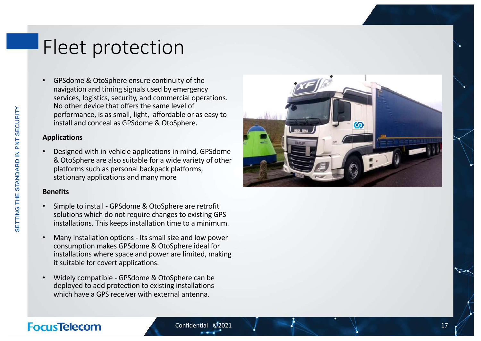# Fleet protection

• GPSdome & OtoSphere ensure continuity of the navigation and timing signals used by emergency services, logistics, security, and commercial operations. No other device that offers the same level of performance, is as small, light, affordable or as easy to install and conceal as GPSdome & OtoSphere.

#### **Applications**

• Designed with in -vehicle applications in mind, GPSdome & OtoSphere are also suitable for a wide variety of other platforms such as personal backpack platforms, stationary applications and many more

#### **Benefits**

- Simple to install GPSdome & OtoSphere are retrofit solutions which do not require changes to existing GPS installations. This keeps installation time to a minimum.
- Many installation options Its small size and low power consumption makes GPSdome & OtoSphere ideal for installations where space and power are limited, making it suitable for covert applications.
- Widely compatible GPSdome & OtoSphere can be deployed to add protection to existing installations which have a GPS receiver with external antenna.



# SETTING THE STANDARD IN PNT SECURITY